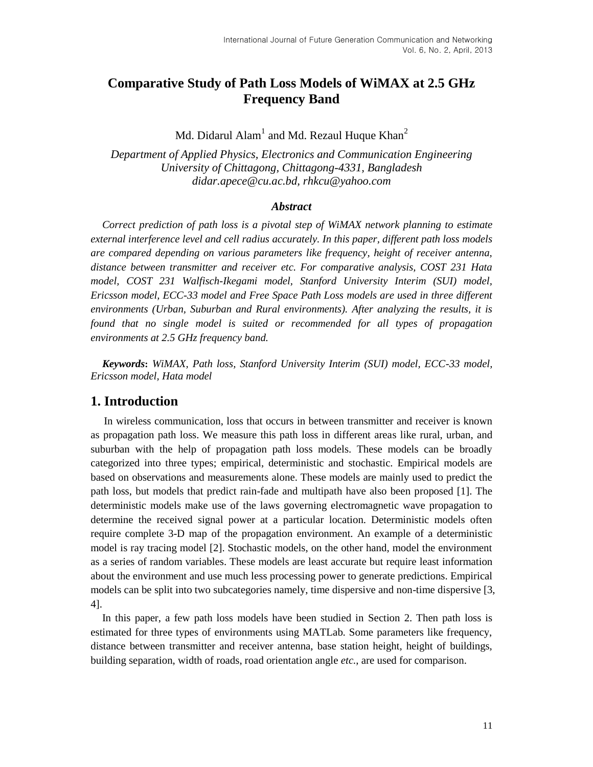# **Comparative Study of Path Loss Models of WiMAX at 2.5 GHz Frequency Band**

Md. Didarul Alam $^{\rm l}$  and Md. Rezaul Huque Khan $^{\rm 2}$ 

*Department of Applied Physics, Electronics and Communication Engineering University of Chittagong, Chittagong-4331, Bangladesh [didar.apece@cu.ac.bd,](mailto:didar.apece@cu.ac.bd) [rhkcu@yahoo.com](mailto:rhkcu@yahoo.com)*

#### *Abstract*

*Correct prediction of path loss is a pivotal step of WiMAX network planning to estimate external interference level and cell radius accurately. In this paper, different path loss models are compared depending on various parameters like frequency, height of receiver antenna, distance between transmitter and receiver etc. For comparative analysis, COST 231 Hata model, COST 231 Walfisch-Ikegami model, Stanford University Interim (SUI) model, Ericsson model, ECC-33 model and Free Space Path Loss models are used in three different environments (Urban, Suburban and Rural environments). After analyzing the results, it is found that no single model is suited or recommended for all types of propagation environments at 2.5 GHz frequency band.*

*Keywords***:** *WiMAX, Path loss, Stanford University Interim (SUI) model, ECC-33 model, Ericsson model, Hata model*

## **1. Introduction**

 In wireless communication, loss that occurs in between transmitter and receiver is known as propagation path loss. We measure this path loss in different areas like rural, urban, and suburban with the help of propagation path loss models. These models can be broadly categorized into three types; empirical, deterministic and stochastic. Empirical models are based on observations and measurements alone. These models are mainly used to predict the path loss, but models that predict rain-fade and multipath have also been proposed [1]. The deterministic models make use of the laws governing electromagnetic wave propagation to determine the received signal power at a particular location. Deterministic models often require complete 3-D map of the propagation environment. An example of a deterministic model is ray tracing model [2]. Stochastic models, on the other hand, model the environment as a series of random variables. These models are least accurate but require least information about the environment and use much less processing power to generate predictions. Empirical models can be split into two subcategories namely, time dispersive and non-time dispersive [3, 4].

In this paper, a few path loss models have been studied in Section 2. Then path loss is estimated for three types of environments using MATLab. Some parameters like frequency, distance between transmitter and receiver antenna, base station height, height of buildings, building separation, width of roads, road orientation angle *etc.*, are used for comparison.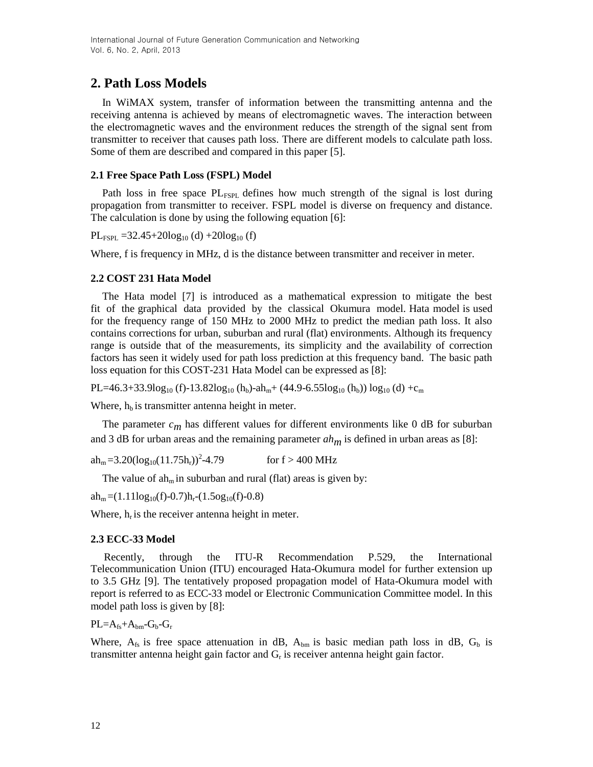# **2. Path Loss Models**

In WiMAX system, transfer of information between the transmitting antenna and the receiving antenna is achieved by means of electromagnetic waves. The interaction between the electromagnetic waves and the environment reduces the strength of the signal sent from transmitter to receiver that causes path loss. There are different models to calculate path loss. Some of them are described and compared in this paper [5].

## **2.1 Free Space Path Loss (FSPL) Model**

Path loss in free space  $PL_{FSPL}$  defines how much strength of the signal is lost during propagation from transmitter to receiver. FSPL model is diverse on frequency and distance. The calculation is done by using the following equation [6]:

 $PL_{FSPI} = 32.45 + 20\log_{10}(d) + 20\log_{10}(f)$ 

Where, f is frequency in MHz, d is the distance between transmitter and receiver in meter.

## **2.2 COST 231 Hata Model**

The Hata model [7] is introduced as a mathematical expression to mitigate the best fit of the graphical data provided by the classical Okumura model. Hata model is used for the frequency range of 150 MHz to 2000 MHz to predict the median path loss. It also contains corrections for urban, suburban and rural (flat) environments. Although its frequency range is outside that of the measurements, its simplicity and the availability of correction factors has seen it widely used for path loss prediction at this frequency band. The basic path loss equation for this COST-231 Hata Model can be expressed as [8]:

 $PL=46.3+33.9log_{10} (f)-13.82log_{10} (h_b)-ah_m+(44.9-6.55log_{10} (h_b)) log_{10} (d) +c_m$ 

Where,  $h<sub>b</sub>$  is transmitter antenna height in meter.

The parameter  $c_m$  has different values for different environments like 0 dB for suburban and 3 dB for urban areas and the remaining parameter *ahm* is defined in urban areas as [8]:

 $ah_m = 3.20(log_{10}(11.75h_r))^2 - 4.79$ for  $f > 400$  MHz

The value of  $ah<sub>m</sub>$  in suburban and rural (flat) areas is given by:

 $ah_m = (1.11log_{10}(f)-0.7)h_r - (1.5og_{10}(f)-0.8)$ 

Where,  $h_r$  is the receiver antenna height in meter.

### **2.3 ECC-33 Model**

 Recently, through the ITU-R Recommendation P.529, the International Telecommunication Union (ITU) encouraged Hata-Okumura model for further extension up to 3.5 GHz [9]. The tentatively proposed propagation model of Hata-Okumura model with report is referred to as ECC-33 model or Electronic Communication Committee model. In this model path loss is given by [8]:

 $PL=A_{fs}+A_{bm}-G_b-G_r$ 

Where,  $A_{fs}$  is free space attenuation in dB,  $A_{bm}$  is basic median path loss in dB,  $G_b$  is transmitter antenna height gain factor and  $G_r$  is receiver antenna height gain factor.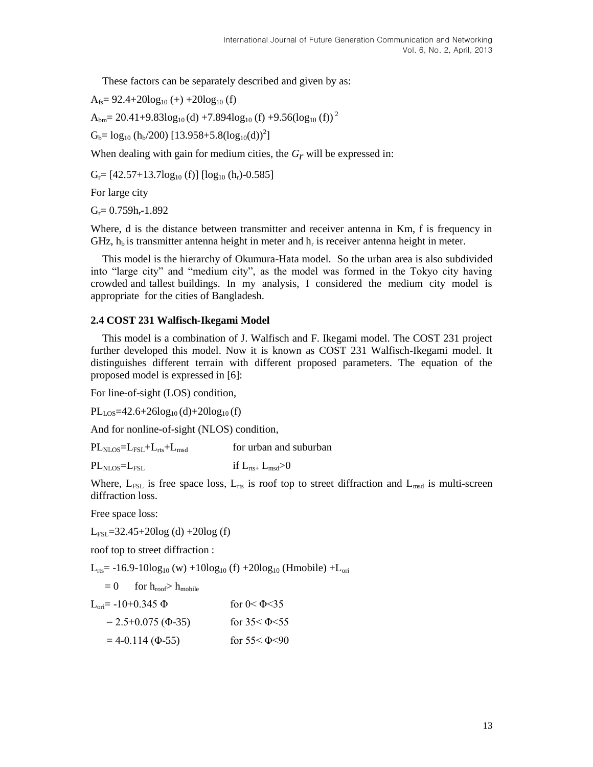These factors can be separately described and given by as:

 $A<sub>fs</sub>= 92.4+20log<sub>10</sub>(+) +20log<sub>10</sub>(f)$ 

 $A_{bm} = 20.41 + 9.83 \log_{10} (d) + 7.894 \log_{10} (f) + 9.56 (\log_{10} (f))^{2}$ 

 $G_b = log_{10} (h_b/200) [13.958 + 5.8(log_{10}(d))^{2}]$ 

When dealing with gain for medium cities, the  $G_r$  will be expressed in:

 $G_r = [42.57+13.7\log_{10}(f)] [\log_{10}(h_r)-0.585]$ 

For large city

 $G_r = 0.759h_r - 1.892$ 

Where, d is the distance between transmitter and receiver antenna in Km, f is frequency in GHz,  $h_b$  is transmitter antenna height in meter and  $h_r$  is receiver antenna height in meter.

This model is the hierarchy of Okumura-Hata model. So the urban area is also subdivided into "large city" and "medium city", as the model was formed in the Tokyo city having crowded and tallest buildings. In my analysis, I considered the medium city model is appropriate for the cities of Bangladesh.

### **2.4 COST 231 Walfisch-Ikegami Model**

This model is a combination of J. Walfisch and F. Ikegami model. The COST 231 project further developed this model. Now it is known as COST 231 Walfisch-Ikegami model. It distinguishes different terrain with different proposed parameters. The equation of the proposed model is expressed in [6]:

For line-of-sight (LOS) condition,

 $PL<sub>LOS</sub>=42.6+26log<sub>10</sub>(d)+20log<sub>10</sub>(f)$ 

And for nonline-of-sight (NLOS) condition,

 $PL_{NTOS} = L_{EST} + L_{rts} + L_{msd}$  for urban and suburban

 $PL_{NLOS}=L_{FSI}$  if  $L_{rts+} L_{msd}>0$ 

Where,  $L_{FSL}$  is free space loss,  $L_{rts}$  is roof top to street diffraction and  $L_{msd}$  is multi-screen diffraction loss.

Free space loss:

 $L_{FSL}$ =32.45+20log (d) +20log (f)

roof top to street diffraction :

 $L_{\text{rts}}$  = -16.9-10log<sub>10</sub> (w) +10log<sub>10</sub> (f) +20log<sub>10</sub> (Hmobile) + $L_{\text{ori}}$ 

$$
= 0 \qquad \text{for } h_{\text{roof}} > h_{\text{mobile}}
$$

$$
L_{\text{ori}} = -10 + 0.345 \Phi \qquad \text{for } 0 < \Phi < 35
$$
  
= 2.5 + 0.075 ( $\Phi$ -35) \qquad \text{for } 35 < \Phi < 55  
= 4 - 0.114 ( $\Phi$ -55) \qquad \text{for } 55 < \Phi < 90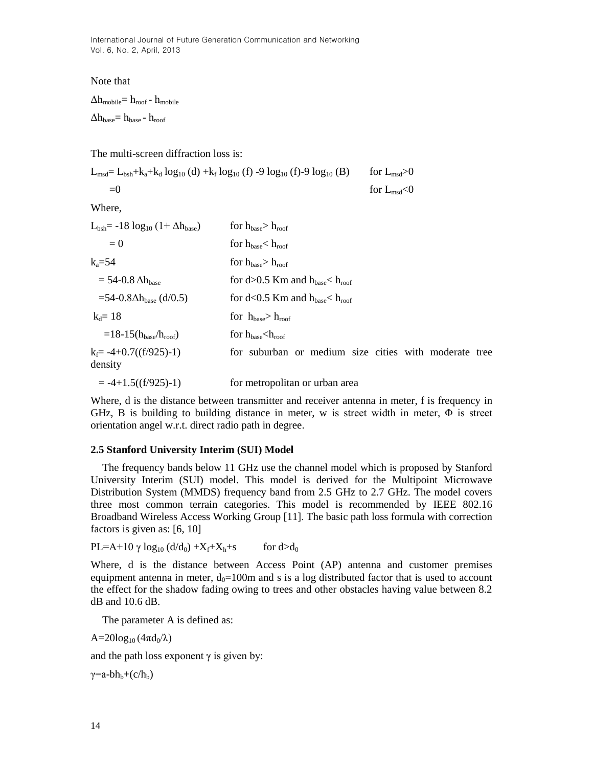Note that

 $\Delta h_{\rm mobile}$ =  $h_{\rm roof}$  -  $h_{\rm mobile}$ 

 $\Delta h_{\rm base}$  =  $h_{\rm base}$  -  $h_{\rm roof}$ 

The multi-screen diffraction loss is:

| $L_{msd} = L_{bsh} + k_a + k_d \log_{10}(d) + k_f \log_{10}(f) - 9 \log_{10}(f) - 9 \log_{10}(B)$ | for $L_{\text{msd}} > 0$ |
|---------------------------------------------------------------------------------------------------|--------------------------|
| $=$ ()                                                                                            | for $L_{\text{msd}}<0$   |

Where,

| $L_{bsh}$ = -18 $log_{10}$ (1+ $\Delta h_{base}$ ) | for $h_{\text{base}} > h_{\text{root}}$               |
|----------------------------------------------------|-------------------------------------------------------|
| $= 0$                                              | for $h_{base} < h_{root}$                             |
| $k_a = 54$                                         | for $h_{base} > h_{root}$                             |
| $=$ 54-0.8 $\Delta h_{\text{base}}$                | for d>0.5 Km and $h_{base}$ h <sub>roof</sub>         |
| $=$ 54-0.8 $\Delta$ h <sub>base</sub> (d/0.5)      | for $d<0.5$ Km and $h_{base} < h_{root}$              |
| $k_d = 18$                                         | for $h_{\text{base}} > h_{\text{root}}$               |
| $=18-15(h_{base}/h_{root})$                        | for $h_{base}$ $\langle h_{root}$                     |
| $k_f = -4 + 0.7((f/925)-1)$<br>density             | for suburban or medium size cities with moderate tree |
| $= -4+1.5((f/925)-1)$                              | for metropolitan or urban area                        |

Where, d is the distance between transmitter and receiver antenna in meter, f is frequency in GHz, B is building to building distance in meter, w is street width in meter,  $\Phi$  is street orientation angel w.r.t. direct radio path in degree.

#### **2.5 Stanford University Interim (SUI) Model**

The frequency bands below 11 GHz use the channel model which is proposed by Stanford University Interim (SUI) model. This model is derived for the Multipoint Microwave Distribution System (MMDS) frequency band from 2.5 GHz to 2.7 GHz. The model covers three most common terrain categories. This model is recommended by IEEE 802.16 Broadband Wireless Access Working Group [11]. The basic path loss formula with correction factors is given as: [6, 10]

$$
PL=A+10 \, \gamma \, \log_{10} \left( \frac{d}{d_0} \right) + X_f + X_h + s \qquad \text{for } d > d_0
$$

Where, d is the distance between Access Point (AP) antenna and customer premises equipment antenna in meter,  $d_0=100m$  and s is a log distributed factor that is used to account the effect for the shadow fading owing to trees and other obstacles having value between 8.2 dB and 10.6 dB.

The parameter A is defined as:

 $A=20log_{10}(4\pi d_0/\lambda)$ 

and the path loss exponent  $\gamma$  is given by:

 $\gamma$ =a-bh<sub>b</sub>+(c/h<sub>b</sub>)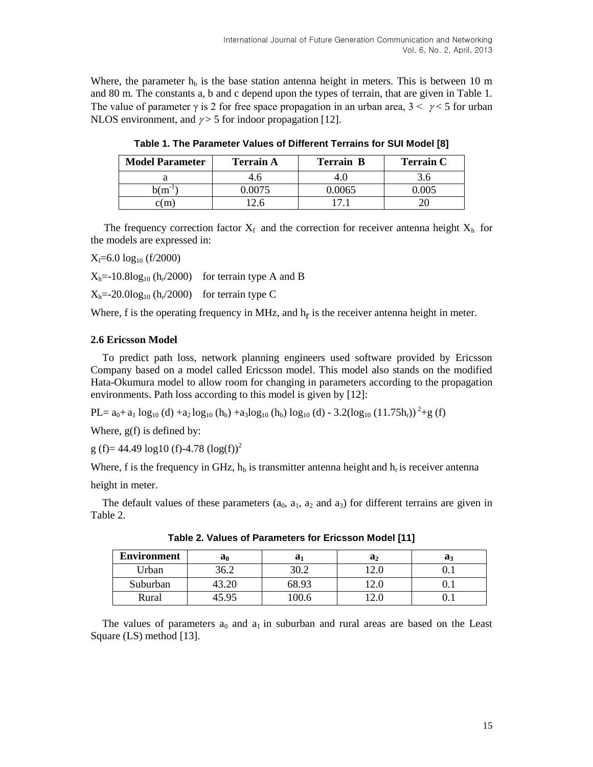Where, the parameter  $h_b$  is the base station antenna height in meters. This is between 10 m and 80 m. The constants a, b and c depend upon the types of terrain, that are given in Table 1. The value of parameter  $\gamma$  is 2 for free space propagation in an urban area,  $3 < \gamma < 5$  for urban NLOS environment, and  $\gamma$  > 5 for indoor propagation [12].

| <b>Model Parameter</b> | <b>Terrain A</b> | <b>Terrain B</b> | <b>Terrain C</b> |
|------------------------|------------------|------------------|------------------|
|                        | 4.0              |                  |                  |
| $b(m^{-1})$            |                  | 0.0065           | 005              |
| c(m                    |                  |                  |                  |

**Table 1. The Parameter Values of Different Terrains for SUI Model [8]**

The frequency correction factor  $X_f$  and the correction for receiver antenna height  $X_h$  for the models are expressed in:

 $X_f = 6.0 \log_{10} (f/2000)$ 

 $X_h$ =-10.8log<sub>10</sub> ( $h_r$ /2000) for terrain type A and B

 $X_h$ =-20.0log<sub>10</sub> ( $h_r$ /2000) for terrain type C

Where,  $f$  is the operating frequency in MHz, and  $h_f$  is the receiver antenna height in meter.

### **2.6 Ericsson Model**

To predict path loss, network planning engineers used software provided by Ericsson Company based on a model called Ericsson model. This model also stands on the modified Hata-Okumura model to allow room for changing in parameters according to the propagation environments. Path loss according to this model is given by [12]:

 $PL = a_0 + a_1 \log_{10} (d) + a_2 \log_{10} (h_b) + a_3 \log_{10} (h_b) \log_{10} (d) - 3.2(\log_{10} (11.75h_r))^2 + g(f)$ 

Where, g(f) is defined by:

g (f)= 44.49  $log10$  (f)-4.78  $(log(f))^{2}$ 

Where, f is the frequency in GHz,  $h_b$  is transmitter antenna height and  $h_r$  is receiver antenna

height in meter.

The default values of these parameters  $(a_0, a_1, a_2 \text{ and } a_3)$  for different terrains are given in Table 2.

| <b>Environment</b> | $a_0$ | a,    | $\mathbf{a}_2$ | a.  |
|--------------------|-------|-------|----------------|-----|
| Urban              | 36.2  | 30.2  | . 4.U          | v.ı |
| Suburban           |       | 68.93 | . 2. J         |     |
| Rural              | 505   | .00.6 | ∟.⊾            | v.ı |

**Table 2. Values of Parameters for Ericsson Model [11]**

The values of parameters  $a_0$  and  $a_1$  in suburban and rural areas are based on the Least Square (LS) method [13].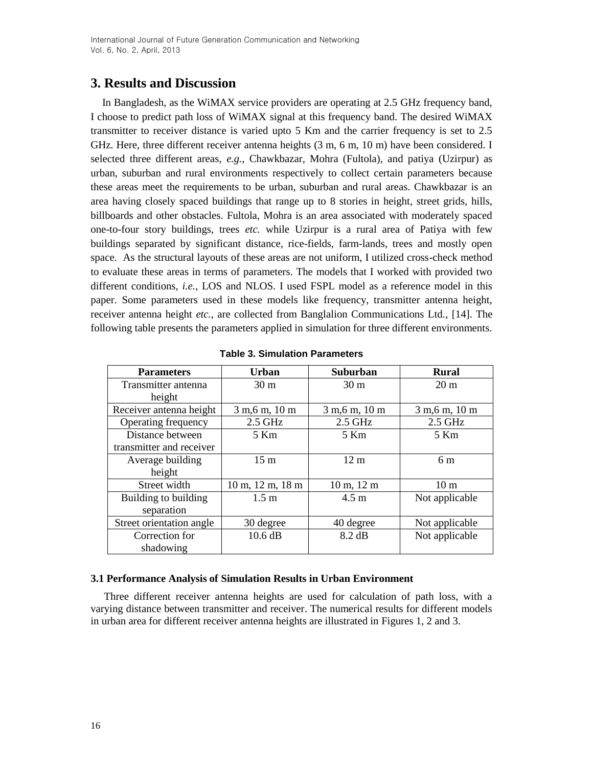# **3. Results and Discussion**

In Bangladesh, as the WiMAX service providers are operating at 2.5 GHz frequency band, I choose to predict path loss of WiMAX signal at this frequency band. The desired WiMAX transmitter to receiver distance is varied upto 5 Km and the carrier frequency is set to 2.5 GHz. Here, three different receiver antenna heights (3 m, 6 m, 10 m) have been considered. I selected three different areas, *e.g.*, Chawkbazar, Mohra (Fultola), and patiya (Uzirpur) as urban, suburban and rural environments respectively to collect certain parameters because these areas meet the requirements to be urban, suburban and rural areas. Chawkbazar is an area having closely spaced buildings that range up to 8 stories in height, street grids, hills, billboards and other obstacles. Fultola, Mohra is an area associated with moderately spaced one-to-four story buildings, trees *etc.* while Uzirpur is a rural area of Patiya with few buildings separated by significant distance, rice-fields, farm-lands, trees and mostly open space. As the structural layouts of these areas are not uniform, I utilized cross-check method to evaluate these areas in terms of parameters. The models that I worked with provided two different conditions, *i.e.*, LOS and NLOS. I used FSPL model as a reference model in this paper. Some parameters used in these models like frequency, transmitter antenna height, receiver antenna height *etc.*, are collected from Banglalion Communications Ltd., [14]. The following table presents the parameters applied in simulation for three different environments.

| <b>Parameters</b>        | <b>Urban</b>                                     | Suburban                        | <b>Rural</b>    |
|--------------------------|--------------------------------------------------|---------------------------------|-----------------|
|                          |                                                  |                                 |                 |
| Transmitter antenna      | 30 <sub>m</sub>                                  | 30 <sub>m</sub>                 | $20 \text{ m}$  |
| height                   |                                                  |                                 |                 |
| Receiver antenna height  | 3 m, 6 m, 10 m                                   | 3 m, 6 m, 10 m                  | 3 m, 6 m, 10 m  |
| Operating frequency      | $2.5$ GHz                                        | 2.5 GHz                         | $2.5$ GHz       |
| Distance between         | 5 Km                                             | 5 Km                            | 5 Km            |
| transmitter and receiver |                                                  |                                 |                 |
| Average building         | 15 <sub>m</sub>                                  | $12 \text{ m}$                  | 6 <sub>m</sub>  |
| height                   |                                                  |                                 |                 |
| Street width             | $10 \text{ m}$ , $12 \text{ m}$ , $18 \text{ m}$ | $10 \text{ m}$ , $12 \text{ m}$ | 10 <sub>m</sub> |
| Building to building     | $1.5 \text{ m}$                                  | $4.5 \text{ m}$                 | Not applicable  |
| separation               |                                                  |                                 |                 |
| Street orientation angle | 30 degree                                        | 40 degree                       | Not applicable  |
| Correction for           | 10.6 dB                                          | 8.2 dB                          | Not applicable  |
| shadowing                |                                                  |                                 |                 |

**Table 3. Simulation Parameters**

### **3.1 Performance Analysis of Simulation Results in Urban Environment**

 Three different receiver antenna heights are used for calculation of path loss, with a varying distance between transmitter and receiver. The numerical results for different models in urban area for different receiver antenna heights are illustrated in Figures 1, 2 and 3.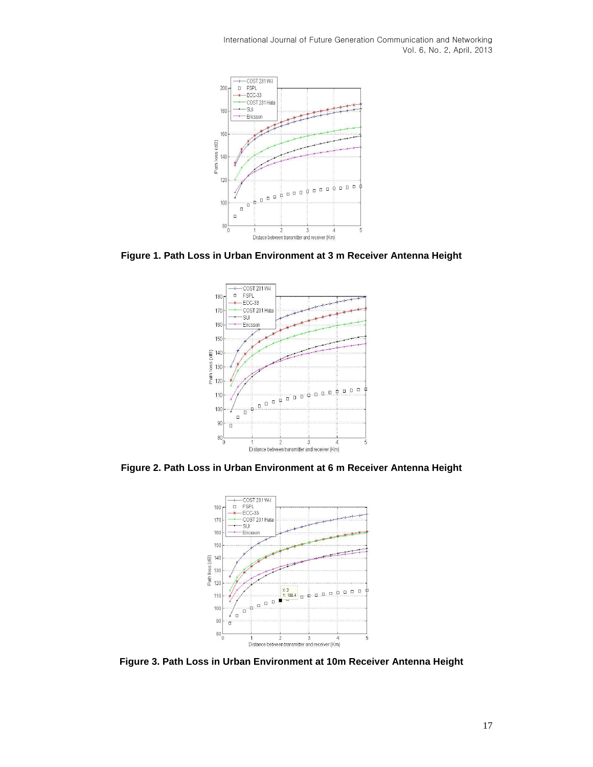

**Figure 1. Path Loss in Urban Environment at 3 m Receiver Antenna Height**



**Figure 2. Path Loss in Urban Environment at 6 m Receiver Antenna Height**



**Figure 3. Path Loss in Urban Environment at 10m Receiver Antenna Height**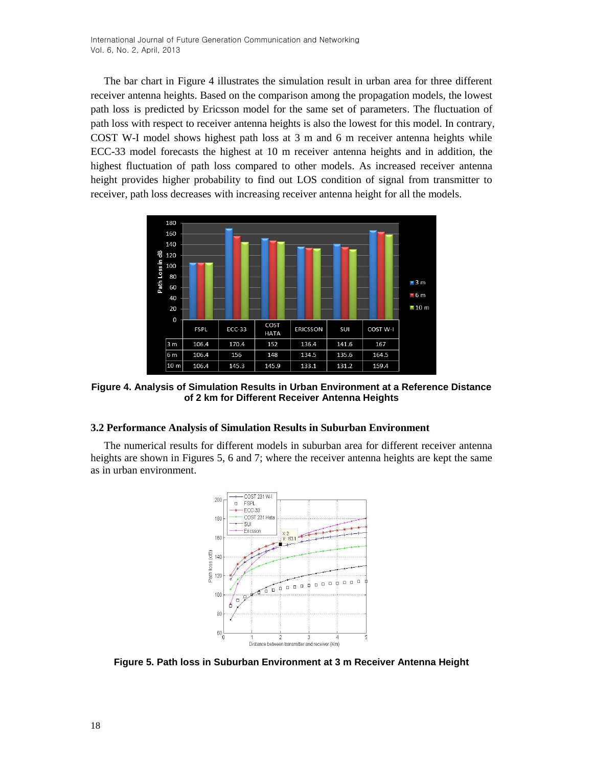The bar chart in Figure 4 illustrates the simulation result in urban area for three different receiver antenna heights. Based on the comparison among the propagation models, the lowest path loss is predicted by Ericsson model for the same set of parameters. The fluctuation of path loss with respect to receiver antenna heights is also the lowest for this model. In contrary, COST W-I model shows highest path loss at 3 m and 6 m receiver antenna heights while ECC-33 model forecasts the highest at 10 m receiver antenna heights and in addition, the highest fluctuation of path loss compared to other models. As increased receiver antenna height provides higher probability to find out LOS condition of signal from transmitter to receiver, path loss decreases with increasing receiver antenna height for all the models.



**Figure 4. Analysis of Simulation Results in Urban Environment at a Reference Distance of 2 km for Different Receiver Antenna Heights**

#### **3.2 Performance Analysis of Simulation Results in Suburban Environment**

 The numerical results for different models in suburban area for different receiver antenna heights are shown in Figures 5, 6 and 7; where the receiver antenna heights are kept the same as in urban environment.



**Figure 5. Path loss in Suburban Environment at 3 m Receiver Antenna Height**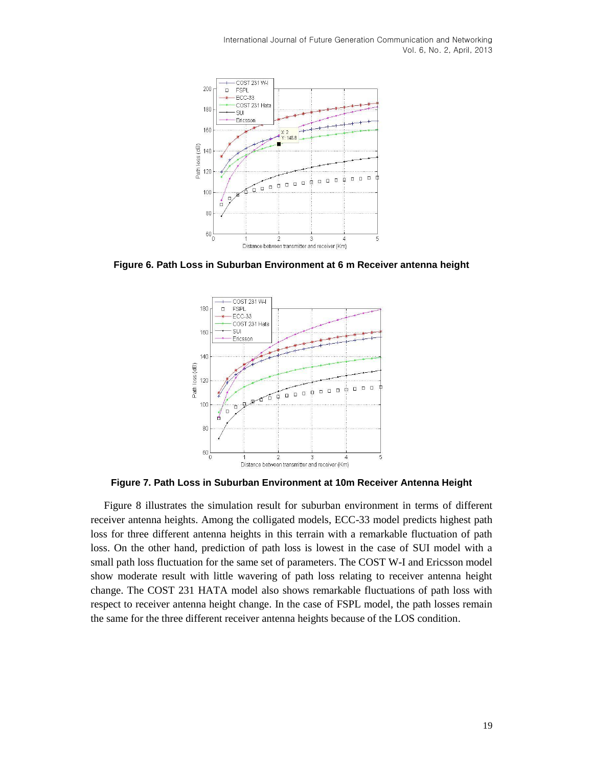

**Figure 6. Path Loss in Suburban Environment at 6 m Receiver antenna height**



**Figure 7. Path Loss in Suburban Environment at 10m Receiver Antenna Height**

 Figure 8 illustrates the simulation result for suburban environment in terms of different receiver antenna heights. Among the colligated models, ECC-33 model predicts highest path loss for three different antenna heights in this terrain with a remarkable fluctuation of path loss. On the other hand, prediction of path loss is lowest in the case of SUI model with a small path loss fluctuation for the same set of parameters. The COST W-I and Ericsson model show moderate result with little wavering of path loss relating to receiver antenna height change. The COST 231 HATA model also shows remarkable fluctuations of path loss with respect to receiver antenna height change. In the case of FSPL model, the path losses remain the same for the three different receiver antenna heights because of the LOS condition.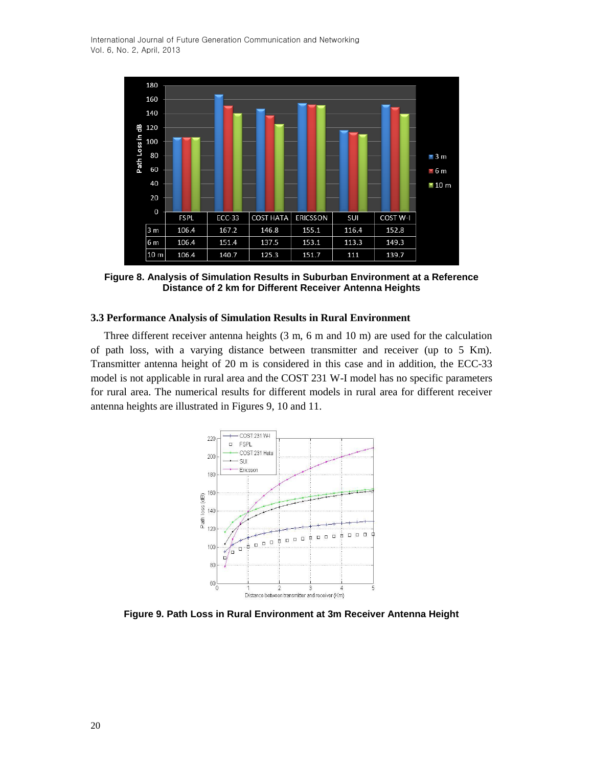

**Figure 8. Analysis of Simulation Results in Suburban Environment at a Reference Distance of 2 km for Different Receiver Antenna Heights**

#### **3.3 Performance Analysis of Simulation Results in Rural Environment**

 Three different receiver antenna heights (3 m, 6 m and 10 m) are used for the calculation of path loss, with a varying distance between transmitter and receiver (up to 5 Km). Transmitter antenna height of 20 m is considered in this case and in addition, the ECC-33 model is not applicable in rural area and the COST 231 W-I model has no specific parameters for rural area. The numerical results for different models in rural area for different receiver antenna heights are illustrated in Figures 9, 10 and 11.



**Figure 9. Path Loss in Rural Environment at 3m Receiver Antenna Height**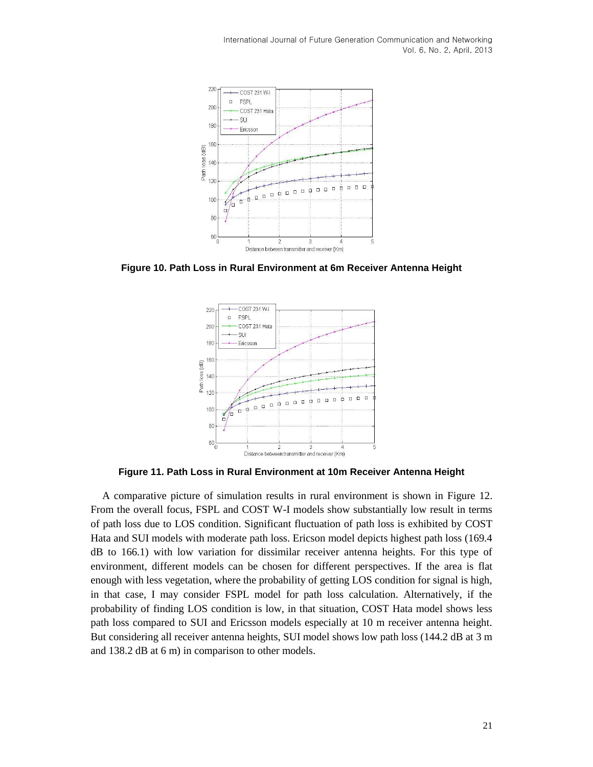

**Figure 10. Path Loss in Rural Environment at 6m Receiver Antenna Height**



**Figure 11. Path Loss in Rural Environment at 10m Receiver Antenna Height**

A comparative picture of simulation results in rural environment is shown in Figure 12. From the overall focus, FSPL and COST W-I models show substantially low result in terms of path loss due to LOS condition. Significant fluctuation of path loss is exhibited by COST Hata and SUI models with moderate path loss. Ericson model depicts highest path loss (169.4 dB to 166.1) with low variation for dissimilar receiver antenna heights. For this type of environment, different models can be chosen for different perspectives. If the area is flat enough with less vegetation, where the probability of getting LOS condition for signal is high, in that case, I may consider FSPL model for path loss calculation. Alternatively, if the probability of finding LOS condition is low, in that situation, COST Hata model shows less path loss compared to SUI and Ericsson models especially at 10 m receiver antenna height. But considering all receiver antenna heights, SUI model shows low path loss (144.2 dB at 3 m and 138.2 dB at 6 m) in comparison to other models.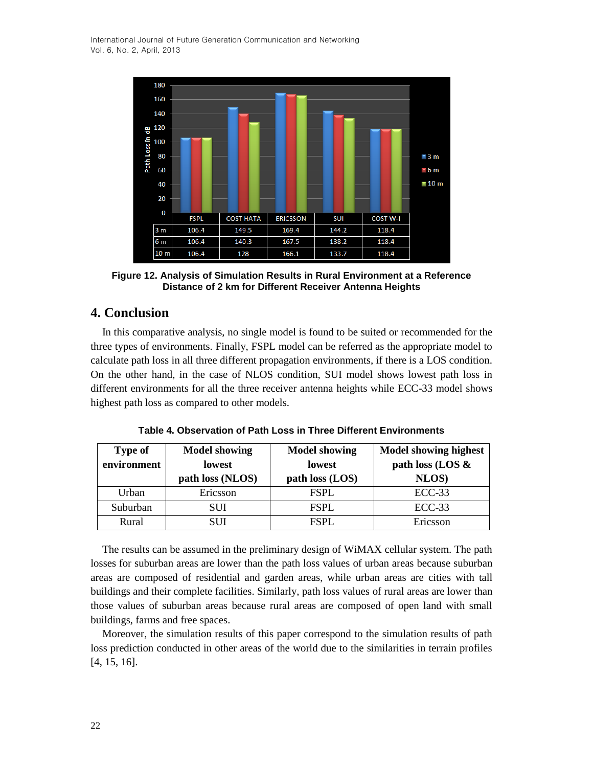

**Figure 12. Analysis of Simulation Results in Rural Environment at a Reference Distance of 2 km for Different Receiver Antenna Heights**

# **4. Conclusion**

In this comparative analysis, no single model is found to be suited or recommended for the three types of environments. Finally, FSPL model can be referred as the appropriate model to calculate path loss in all three different propagation environments, if there is a LOS condition. On the other hand, in the case of NLOS condition, SUI model shows lowest path loss in different environments for all the three receiver antenna heights while ECC-33 model shows highest path loss as compared to other models.

| Table 4. Observation of Path Loss in Three Different Environments |
|-------------------------------------------------------------------|
|                                                                   |

| <b>Type of</b> | <b>Model showing</b> | <b>Model showing</b> | <b>Model showing highest</b> |
|----------------|----------------------|----------------------|------------------------------|
| environment    | <b>lowest</b>        | <b>lowest</b>        | path loss (LOS &             |
|                | path loss (NLOS)     | path loss (LOS)      | NLOS)                        |
| Urban          | Ericsson             | <b>FSPL</b>          | $ECC-33$                     |
| Suburban       | SUI                  | <b>FSPL</b>          | $ECC-33$                     |
| Rural          | SUI                  | <b>FSPL</b>          | Ericsson                     |

The results can be assumed in the preliminary design of WiMAX cellular system. The path losses for suburban areas are lower than the path loss values of urban areas because suburban areas are composed of residential and garden areas, while urban areas are cities with tall buildings and their complete facilities. Similarly, path loss values of rural areas are lower than those values of suburban areas because rural areas are composed of open land with small buildings, farms and free spaces.

Moreover, the simulation results of this paper correspond to the simulation results of path loss prediction conducted in other areas of the world due to the similarities in terrain profiles [4, 15, 16].